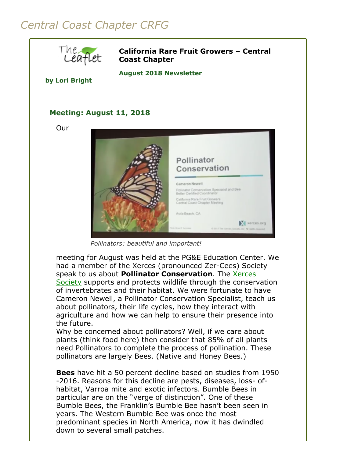## *Central Coast Chapter CRFG*



**California Rare Fruit Growers – Central Coast Chapter**

**August 2018 Newsletter** 

**by Lori Bright**

## **Meeting: August 11, 2018**

Our



*Pollinators: beautiful and important!*

meeting for August was held at the PG&E Education Center. We had a member of the Xerces (pronounced Zer-Cees) Society speak to us about **Pollinator Conservation**. The **Xerces** Society [supports and protects wildlife through the conserv](http://www.xerces.org/)ation of invertebrates and their habitat. We were fortunate to have Cameron Newell, a Pollinator Conservation Specialist, teach us about pollinators, their life cycles, how they interact with agriculture and how we can help to ensure their presence into the future.

Why be concerned about pollinators? Well, if we care about plants (think food here) then consider that 85% of all plants need Pollinators to complete the process of pollination. These pollinators are largely Bees. (Native and Honey Bees.)

**Bees** have hit a 50 percent decline based on studies from 1950 -2016. Reasons for this decline are pests, diseases, loss- ofhabitat, Varroa mite and exotic infectors. Bumble Bees in particular are on the "verge of distinction". One of these Bumble Bees, the Franklin's Bumble Bee hasn't been seen in years. The Western Bumble Bee was once the most predominant species in North America, now it has dwindled down to several small patches.